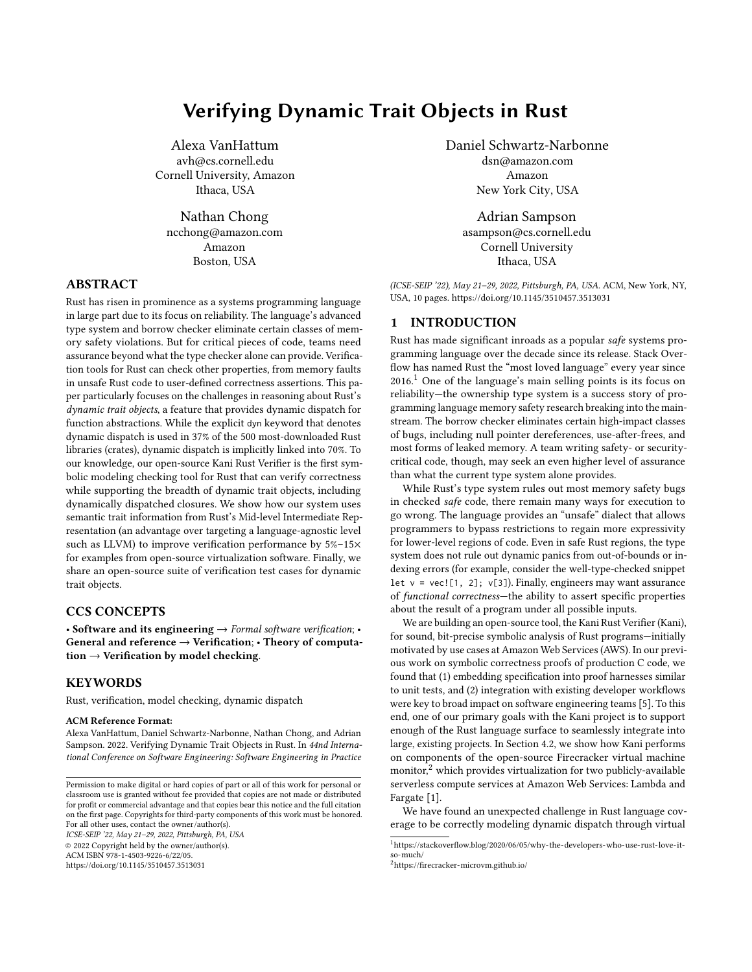# Verifying Dynamic Trait Objects in Rust

Alexa VanHattum avh@cs.cornell.edu Cornell University, Amazon Ithaca, USA

Nathan Chong ncchong@amazon.com Amazon Boston, USA

# ABSTRACT

Rust has risen in prominence as a systems programming language in large part due to its focus on reliability. The language's advanced type system and borrow checker eliminate certain classes of memory safety violations. But for critical pieces of code, teams need assurance beyond what the type checker alone can provide. Verification tools for Rust can check other properties, from memory faults in unsafe Rust code to user-defined correctness assertions. This paper particularly focuses on the challenges in reasoning about Rust's dynamic trait objects, a feature that provides dynamic dispatch for function abstractions. While the explicit dyn keyword that denotes dynamic dispatch is used in 37% of the 500 most-downloaded Rust libraries (crates), dynamic dispatch is implicitly linked into 70%. To our knowledge, our open-source Kani Rust Verifier is the first symbolic modeling checking tool for Rust that can verify correctness while supporting the breadth of dynamic trait objects, including dynamically dispatched closures. We show how our system uses semantic trait information from Rust's Mid-level Intermediate Representation (an advantage over targeting a language-agnostic level such as LLVM) to improve verification performance by 5%–15× for examples from open-source virtualization software. Finally, we share an open-source suite of verification test cases for dynamic trait objects.

## CCS CONCEPTS

• Software and its engineering  $\rightarrow$  Formal software verification; • General and reference → Verification; • Theory of computation  $\rightarrow$  Verification by model checking.

# **KEYWORDS**

Rust, verification, model checking, dynamic dispatch

#### ACM Reference Format:

Alexa VanHattum, Daniel Schwartz-Narbonne, Nathan Chong, and Adrian Sampson. 2022. Verifying Dynamic Trait Objects in Rust. In 44nd International Conference on Software Engineering: Software Engineering in Practice

ICSE-SEIP '22, May 21–29, 2022, Pittsburgh, PA, USA

© 2022 Copyright held by the owner/author(s).

ACM ISBN 978-1-4503-9226-6/22/05.

<https://doi.org/10.1145/3510457.3513031>

Daniel Schwartz-Narbonne dsn@amazon.com Amazon New York City, USA

> Adrian Sampson asampson@cs.cornell.edu Cornell University Ithaca, USA

(ICSE-SEIP '22), May 21–29, 2022, Pittsburgh, PA, USA. ACM, New York, NY, USA, [10](#page-9-0) pages.<https://doi.org/10.1145/3510457.3513031>

# 1 INTRODUCTION

Rust has made significant inroads as a popular safe systems programming language over the decade since its release. Stack Overflow has named Rust the "most loved language" every year since  $2016<sup>1</sup>$  $2016<sup>1</sup>$  $2016<sup>1</sup>$  One of the language's main selling points is its focus on reliability—the ownership type system is a success story of programming language memory safety research breaking into the mainstream. The borrow checker eliminates certain high-impact classes of bugs, including null pointer dereferences, use-after-frees, and most forms of leaked memory. A team writing safety- or securitycritical code, though, may seek an even higher level of assurance than what the current type system alone provides.

While Rust's type system rules out most memory safety bugs in checked safe code, there remain many ways for execution to go wrong. The language provides an "unsafe" dialect that allows programmers to bypass restrictions to regain more expressivity for lower-level regions of code. Even in safe Rust regions, the type system does not rule out dynamic panics from out-of-bounds or indexing errors (for example, consider the well-type-checked snippet let  $v = vec.[1, 2]; v[3]$ . Finally, engineers may want assurance of functional correctness—the ability to assert specific properties about the result of a program under all possible inputs.

We are building an open-source tool, the Kani Rust Verifier (Kani), for sound, bit-precise symbolic analysis of Rust programs—initially motivated by use cases at Amazon Web Services (AWS). In our previous work on symbolic correctness proofs of production C code, we found that (1) embedding specification into proof harnesses similar to unit tests, and (2) integration with existing developer workflows were key to broad impact on software engineering teams [\[5\]](#page-9-1). To this end, one of our primary goals with the Kani project is to support enough of the Rust language surface to seamlessly integrate into large, existing projects. In Section [4.2,](#page-6-0) we show how Kani performs on components of the open-source Firecracker virtual machine monitor, $2$  which provides virtualization for two publicly-available serverless compute services at Amazon Web Services: Lambda and Fargate [\[1\]](#page-9-2).

We have found an unexpected challenge in Rust language coverage to be correctly modeling dynamic dispatch through virtual

Permission to make digital or hard copies of part or all of this work for personal or classroom use is granted without fee provided that copies are not made or distributed for profit or commercial advantage and that copies bear this notice and the full citation on the first page. Copyrights for third-party components of this work must be honored. For all other uses, contact the owner/author(s).

<span id="page-0-0"></span> $^1$ [https://stackoverflow.blog/2020/06/05/why-the-developers-who-use-rust-love-it](https://stackoverflow.blog/2020/06/05/why-the-developers-who-use-rust-love-it-so-much/)[so-much/](https://stackoverflow.blog/2020/06/05/why-the-developers-who-use-rust-love-it-so-much/)

<span id="page-0-1"></span><sup>2</sup><https://firecracker-microvm.github.io/>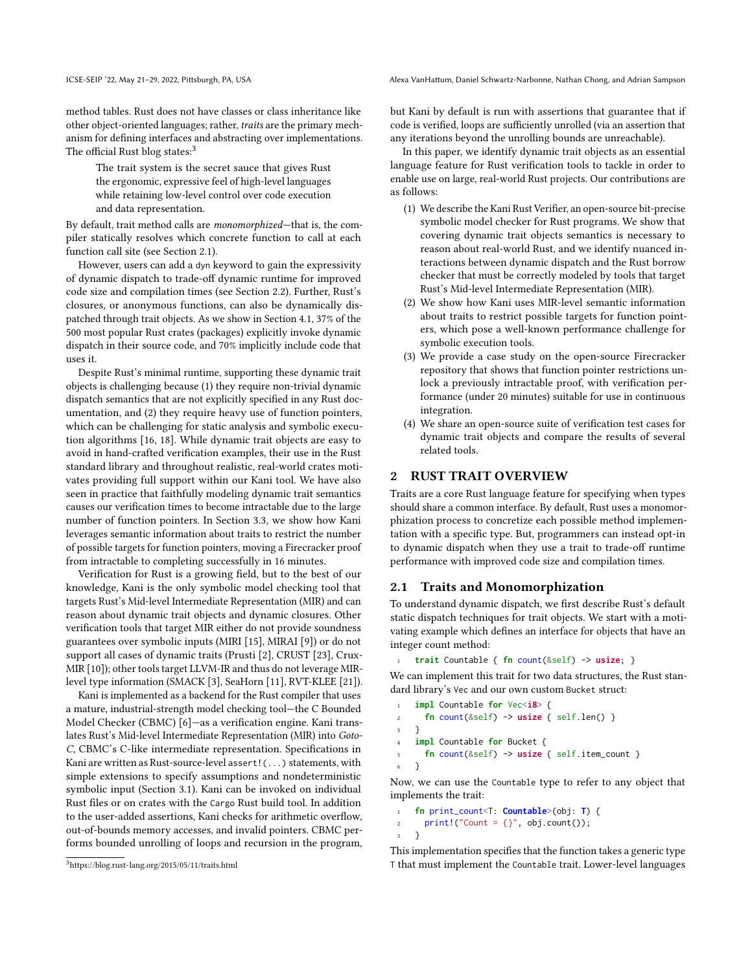ICSE-SEIP '22, May 21–29, 2022, Pittsburgh, PA, USA Alexa VanHattum, Daniel Schwartz-Narbonne, Nathan Chong, and Adrian Sampson

method tables. Rust does not have classes or class inheritance like other object-oriented languages; rather, traits are the primary mechanism for defining interfaces and abstracting over implementations. The official Rust blog states:<sup>[3](#page-1-0)</sup>

The trait system is the secret sauce that gives Rust the ergonomic, expressive feel of high-level languages while retaining low-level control over code execution and data representation.

By default, trait method calls are monomorphized—that is, the compiler statically resolves which concrete function to call at each function call site (see Section [2.1\)](#page-1-1).

However, users can add a dyn keyword to gain the expressivity of dynamic dispatch to trade-off dynamic runtime for improved code size and compilation times (see Section [2.2\)](#page-2-0). Further, Rust's closures, or anonymous functions, can also be dynamically dispatched through trait objects. As we show in Section [4.1,](#page-6-1) 37% of the 500 most popular Rust crates (packages) explicitly invoke dynamic dispatch in their source code, and 70% implicitly include code that uses it.

Despite Rust's minimal runtime, supporting these dynamic trait objects is challenging because (1) they require non-trivial dynamic dispatch semantics that are not explicitly specified in any Rust documentation, and (2) they require heavy use of function pointers, which can be challenging for static analysis and symbolic execution algorithms [\[16,](#page-9-3) [18\]](#page-9-4). While dynamic trait objects are easy to avoid in hand-crafted verification examples, their use in the Rust standard library and throughout realistic, real-world crates motivates providing full support within our Kani tool. We have also seen in practice that faithfully modeling dynamic trait semantics causes our verification times to become intractable due to the large number of function pointers. In Section [3.3,](#page-5-0) we show how Kani leverages semantic information about traits to restrict the number of possible targets for function pointers, moving a Firecracker proof from intractable to completing successfully in 16 minutes.

Verification for Rust is a growing field, but to the best of our knowledge, Kani is the only symbolic model checking tool that targets Rust's Mid-level Intermediate Representation (MIR) and can reason about dynamic trait objects and dynamic closures. Other verification tools that target MIR either do not provide soundness guarantees over symbolic inputs (MIRI [\[15\]](#page-9-5), MIRAI [\[9\]](#page-9-6)) or do not support all cases of dynamic traits (Prusti [\[2\]](#page-9-7), CRUST [\[23\]](#page-9-8), Crux-MIR [\[10\]](#page-9-9)); other tools target LLVM-IR and thus do not leverage MIRlevel type information (SMACK [\[3\]](#page-9-10), SeaHorn [\[11\]](#page-9-11), RVT-KLEE [\[21\]](#page-9-12)).

Kani is implemented as a backend for the Rust compiler that uses a mature, industrial-strength model checking tool—the C Bounded Model Checker (CBMC) [\[6\]](#page-9-13)—as a verification engine. Kani translates Rust's Mid-level Intermediate Representation (MIR) into Goto-C, CBMC's C-like intermediate representation. Specifications in Kani are written as Rust-source-level assert!(...) statements, with simple extensions to specify assumptions and nondeterministic symbolic input (Section [3.1\)](#page-3-0). Kani can be invoked on individual Rust files or on crates with the Cargo Rust build tool. In addition to the user-added assertions, Kani checks for arithmetic overflow, out-of-bounds memory accesses, and invalid pointers. CBMC performs bounded unrolling of loops and recursion in the program, but Kani by default is run with assertions that guarantee that if code is verified, loops are sufficiently unrolled (via an assertion that any iterations beyond the unrolling bounds are unreachable).

In this paper, we identify dynamic trait objects as an essential language feature for Rust verification tools to tackle in order to enable use on large, real-world Rust projects. Our contributions are as follows:

- (1) We describe the Kani Rust Verifier, an open-source bit-precise symbolic model checker for Rust programs. We show that covering dynamic trait objects semantics is necessary to reason about real-world Rust, and we identify nuanced interactions between dynamic dispatch and the Rust borrow checker that must be correctly modeled by tools that target Rust's Mid-level Intermediate Representation (MIR).
- (2) We show how Kani uses MIR-level semantic information about traits to restrict possible targets for function pointers, which pose a well-known performance challenge for symbolic execution tools.
- (3) We provide a case study on the open-source Firecracker repository that shows that function pointer restrictions unlock a previously intractable proof, with verification performance (under 20 minutes) suitable for use in continuous integration.
- (4) We share an open-source suite of verification test cases for dynamic trait objects and compare the results of several related tools.

# 2 RUST TRAIT OVERVIEW

Traits are a core Rust language feature for specifying when types should share a common interface. By default, Rust uses a monomorphization process to concretize each possible method implementation with a specific type. But, programmers can instead opt-in to dynamic dispatch when they use a trait to trade-off runtime performance with improved code size and compilation times.

# <span id="page-1-1"></span>2.1 Traits and Monomorphization

To understand dynamic dispatch, we first describe Rust's default static dispatch techniques for trait objects. We start with a motivating example which defines an interface for objects that have an integer count method:

```
1 trait Countable { fn count(&self) -> usize; }
```
We can implement this trait for two data structures, the Rust standard library's Vec and our own custom Bucket struct:

```
1 impl Countable for Vec<i8> {
2 fn count(&self) -> usize { self.len() }
3 }
   impl Countable for Bucket {
5 fn count(&self) -> usize { self.item_count }
6 }
```
Now, we can use the Countable type to refer to any object that implements the trait:

```
1 fn print_count<T: Countable>(obj: T) {
2 print!("Count = {}", obj.count());
3 }
```
This implementation specifies that the function takes a generic type T that must implement the Countable trait. Lower-level languages

<span id="page-1-0"></span><sup>3</sup><https://blog.rust-lang.org/2015/05/11/traits.html>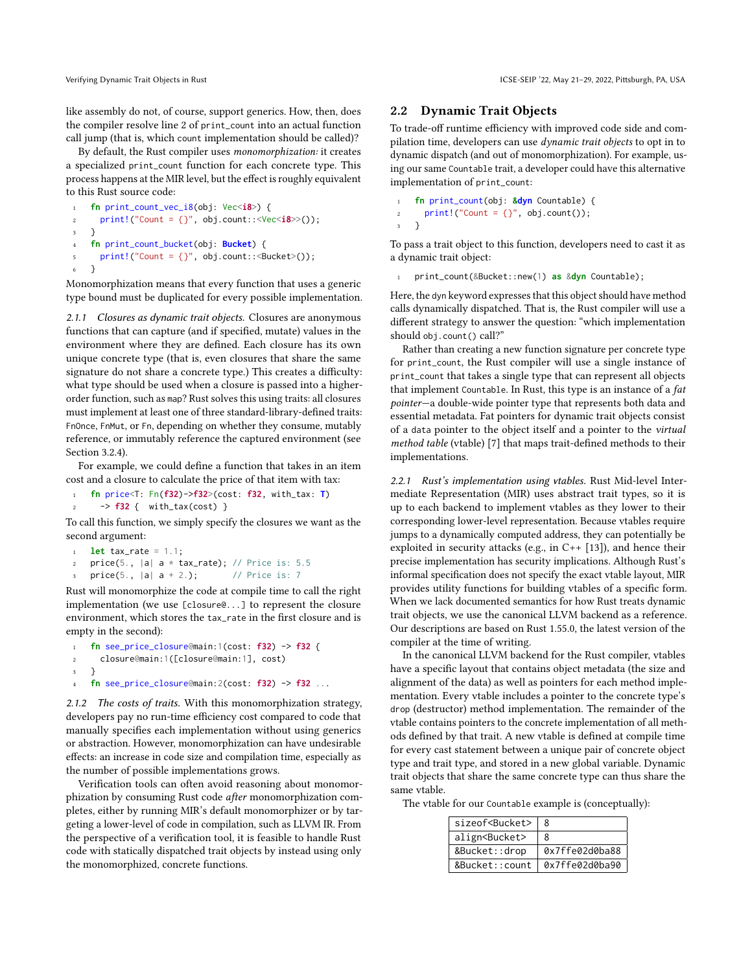like assembly do not, of course, support generics. How, then, does the compiler resolve line 2 of print\_count into an actual function call jump (that is, which count implementation should be called)?

By default, the Rust compiler uses monomorphization: it creates a specialized print\_count function for each concrete type. This process happens at the MIR level, but the effect is roughly equivalent to this Rust source code:

```
1 fn print_count_vec_i8(obj: Vec<i8>) {
2 print!("Count = {}", obj.count::<Vec<i8>>());
3 }
   4 fn print_count_bucket(obj: Bucket) {
5 print!("Count = {}", obj.count:: <Bucket>());
   \mathcal{E}
```
Monomorphization means that every function that uses a generic type bound must be duplicated for every possible implementation.

2.1.1 Closures as dynamic trait objects. Closures are anonymous functions that can capture (and if specified, mutate) values in the environment where they are defined. Each closure has its own unique concrete type (that is, even closures that share the same signature do not share a concrete type.) This creates a difficulty: what type should be used when a closure is passed into a higherorder function, such as map? Rust solves this using traits: all closures must implement at least one of three standard-library-defined traits: FnOnce, FnMut, or Fn, depending on whether they consume, mutably reference, or immutably reference the captured environment (see Section [3.2.4\)](#page-5-1).

For example, we could define a function that takes in an item cost and a closure to calculate the price of that item with tax:

<sup>1</sup> **fn** price<T: Fn(**f32**)->**f32**>(cost: **f32**, with\_tax: **T**) <sup>2</sup> -> **f32** { with\_tax(cost) }

To call this function, we simply specify the closures we want as the second argument:

```
1 let tax_rate = 1.1;
   price(5., |a| a * tax_rate); // Price is: 5.5
   price(5., |a| = 2.); // Price is: 7
```
Rust will monomorphize the code at compile time to call the right implementation (we use [closure@...] to represent the closure environment, which stores the tax\_rate in the first closure and is empty in the second):

```
1 fn see_price_closure@main:1(cost: f32) -> f32 {
2 closure@main:1([closure@main:1], cost)
3 }
4 fn see_price_closure@main:2(cost: f32) -> f32 ...
```
2.1.2 The costs of traits. With this monomorphization strategy, developers pay no run-time efficiency cost compared to code that manually specifies each implementation without using generics or abstraction. However, monomorphization can have undesirable effects: an increase in code size and compilation time, especially as the number of possible implementations grows.

Verification tools can often avoid reasoning about monomorphization by consuming Rust code after monomorphization completes, either by running MIR's default monomorphizer or by targeting a lower-level of code in compilation, such as LLVM IR. From the perspective of a verification tool, it is feasible to handle Rust code with statically dispatched trait objects by instead using only the monomorphized, concrete functions.

## <span id="page-2-0"></span>2.2 Dynamic Trait Objects

To trade-off runtime efficiency with improved code side and compilation time, developers can use dynamic trait objects to opt in to dynamic dispatch (and out of monomorphization). For example, using our same Countable trait, a developer could have this alternative implementation of print\_count:

```
1 fn print_count(obj: &dyn Countable) {
2 print!("Count = {}", obj.count());
3 }
```
To pass a trait object to this function, developers need to cast it as a dynamic trait object:

<sup>1</sup> print\_count(&Bucket::new(1) **as** &**dyn** Countable);

Here, the dyn keyword expresses that this object should have method calls dynamically dispatched. That is, the Rust compiler will use a different strategy to answer the question: "which implementation should obj.count() call?"

Rather than creating a new function signature per concrete type for print\_count, the Rust compiler will use a single instance of print\_count that takes a single type that can represent all objects that implement Countable. In Rust, this type is an instance of a fat pointer—a double-wide pointer type that represents both data and essential metadata. Fat pointers for dynamic trait objects consist of a data pointer to the object itself and a pointer to the virtual method table (vtable) [\[7\]](#page-9-14) that maps trait-defined methods to their implementations.

2.2.1 Rust's implementation using vtables. Rust Mid-level Intermediate Representation (MIR) uses abstract trait types, so it is up to each backend to implement vtables as they lower to their corresponding lower-level representation. Because vtables require jumps to a dynamically computed address, they can potentially be exploited in security attacks (e.g., in C++ [\[13\]](#page-9-15)), and hence their precise implementation has security implications. Although Rust's informal specification does not specify the exact vtable layout, MIR provides utility functions for building vtables of a specific form. When we lack documented semantics for how Rust treats dynamic trait objects, we use the canonical LLVM backend as a reference. Our descriptions are based on Rust 1.55.0, the latest version of the compiler at the time of writing.

In the canonical LLVM backend for the Rust compiler, vtables have a specific layout that contains object metadata (the size and alignment of the data) as well as pointers for each method implementation. Every vtable includes a pointer to the concrete type's drop (destructor) method implementation. The remainder of the vtable contains pointers to the concrete implementation of all methods defined by that trait. A new vtable is defined at compile time for every cast statement between a unique pair of concrete object type and trait type, and stored in a new global variable. Dynamic trait objects that share the same concrete type can thus share the same vtable.

The vtable for our Countable example is (conceptually):

| sizeof <bucket></bucket> | 8              |
|--------------------------|----------------|
| align <bucket></bucket>  | 8              |
| &Bucket::drop            | 0x7ffe02d0ba88 |
| &Bucket::count           | 0x7ffe02d0ba90 |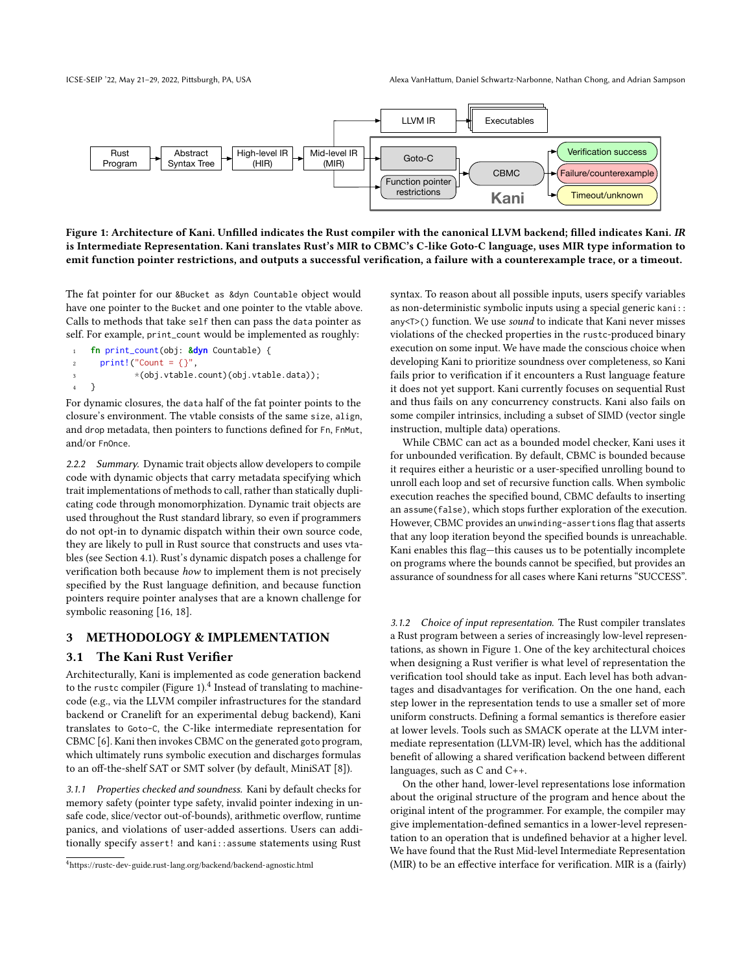<span id="page-3-1"></span>

Figure 1: Architecture of Kani. Unfilled indicates the Rust compiler with the canonical LLVM backend; filled indicates Kani. IR is Intermediate Representation. Kani translates Rust's MIR to CBMC's C-like Goto-C language, uses MIR type information to emit function pointer restrictions, and outputs a successful verification, a failure with a counterexample trace, or a timeout.

The fat pointer for our &Bucket as &dyn Countable object would have one pointer to the Bucket and one pointer to the vtable above. Calls to methods that take self then can pass the data pointer as self. For example, print\_count would be implemented as roughly:

```
1 fn print_count(obj: &dyn Countable) {
2 print! ("Count = \{\}",
             3 *(obj.vtable.count)(obj.vtable.data));
   4 }
```
For dynamic closures, the data half of the fat pointer points to the closure's environment. The vtable consists of the same size, align, and drop metadata, then pointers to functions defined for Fn, FnMut, and/or FnOnce.

2.2.2 Summary. Dynamic trait objects allow developers to compile code with dynamic objects that carry metadata specifying which trait implementations of methods to call, rather than statically duplicating code through monomorphization. Dynamic trait objects are used throughout the Rust standard library, so even if programmers do not opt-in to dynamic dispatch within their own source code, they are likely to pull in Rust source that constructs and uses vtables (see Section [4.1\)](#page-6-1). Rust's dynamic dispatch poses a challenge for verification both because how to implement them is not precisely specified by the Rust language definition, and because function pointers require pointer analyses that are a known challenge for symbolic reasoning [\[16,](#page-9-3) [18\]](#page-9-4).

# 3 METHODOLOGY & IMPLEMENTATION

# <span id="page-3-0"></span>3.1 The Kani Rust Verifier

Architecturally, Kani is implemented as code generation backend to the rustc compiler (Figure [1\)](#page-3-1). $^4$  $^4$  Instead of translating to machinecode (e.g., via the LLVM compiler infrastructures for the standard backend or Cranelift for an experimental debug backend), Kani translates to Goto-C, the C-like intermediate representation for CBMC [\[6\]](#page-9-13). Kani then invokes CBMC on the generated goto program, which ultimately runs symbolic execution and discharges formulas to an off-the-shelf SAT or SMT solver (by default, MiniSAT [\[8\]](#page-9-16)).

3.1.1 Properties checked and soundness. Kani by default checks for memory safety (pointer type safety, invalid pointer indexing in unsafe code, slice/vector out-of-bounds), arithmetic overflow, runtime panics, and violations of user-added assertions. Users can additionally specify assert! and kani::assume statements using Rust

syntax. To reason about all possible inputs, users specify variables as non-deterministic symbolic inputs using a special generic kani:: any<T>() function. We use sound to indicate that Kani never misses violations of the checked properties in the rustc-produced binary execution on some input. We have made the conscious choice when developing Kani to prioritize soundness over completeness, so Kani fails prior to verification if it encounters a Rust language feature it does not yet support. Kani currently focuses on sequential Rust and thus fails on any concurrency constructs. Kani also fails on some compiler intrinsics, including a subset of SIMD (vector single instruction, multiple data) operations.

While CBMC can act as a bounded model checker, Kani uses it for unbounded verification. By default, CBMC is bounded because it requires either a heuristic or a user-specified unrolling bound to unroll each loop and set of recursive function calls. When symbolic execution reaches the specified bound, CBMC defaults to inserting an assume(false), which stops further exploration of the execution. However, CBMC provides an unwinding-assertions flag that asserts that any loop iteration beyond the specified bounds is unreachable. Kani enables this flag—this causes us to be potentially incomplete on programs where the bounds cannot be specified, but provides an assurance of soundness for all cases where Kani returns "SUCCESS".

3.1.2 Choice of input representation. The Rust compiler translates a Rust program between a series of increasingly low-level representations, as shown in Figure [1.](#page-3-1) One of the key architectural choices when designing a Rust verifier is what level of representation the verification tool should take as input. Each level has both advantages and disadvantages for verification. On the one hand, each step lower in the representation tends to use a smaller set of more uniform constructs. Defining a formal semantics is therefore easier at lower levels. Tools such as SMACK operate at the LLVM intermediate representation (LLVM-IR) level, which has the additional benefit of allowing a shared verification backend between different languages, such as C and C++.

On the other hand, lower-level representations lose information about the original structure of the program and hence about the original intent of the programmer. For example, the compiler may give implementation-defined semantics in a lower-level representation to an operation that is undefined behavior at a higher level. We have found that the Rust Mid-level Intermediate Representation (MIR) to be an effective interface for verification. MIR is a (fairly)

<span id="page-3-2"></span><sup>4</sup><https://rustc-dev-guide.rust-lang.org/backend/backend-agnostic.html>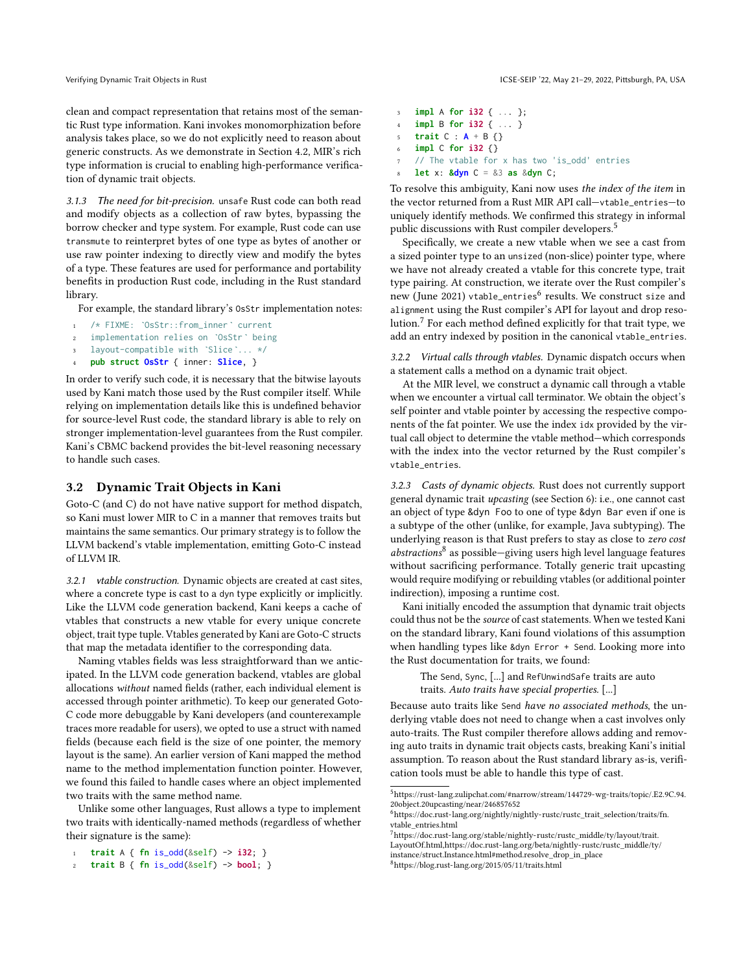clean and compact representation that retains most of the semantic Rust type information. Kani invokes monomorphization before analysis takes place, so we do not explicitly need to reason about generic constructs. As we demonstrate in Section [4.2,](#page-6-0) MIR's rich type information is crucial to enabling high-performance verification of dynamic trait objects.

3.1.3 The need for bit-precision. unsafe Rust code can both read and modify objects as a collection of raw bytes, bypassing the borrow checker and type system. For example, Rust code can use transmute to reinterpret bytes of one type as bytes of another or use raw pointer indexing to directly view and modify the bytes of a type. These features are used for performance and portability benefits in production Rust code, including in the Rust standard library.

For example, the standard library's OsStr implementation notes:

- <sup>1</sup> /\* FIXME: `OsStr::from\_inner` current
- <sup>2</sup> implementation relies on `OsStr` being
- layout-compatible with `Slice`... \*/
- <sup>4</sup> **pub struct OsStr** { inner: **Slice**, }

In order to verify such code, it is necessary that the bitwise layouts used by Kani match those used by the Rust compiler itself. While relying on implementation details like this is undefined behavior for source-level Rust code, the standard library is able to rely on stronger implementation-level guarantees from the Rust compiler. Kani's CBMC backend provides the bit-level reasoning necessary to handle such cases.

# 3.2 Dynamic Trait Objects in Kani

Goto-C (and C) do not have native support for method dispatch, so Kani must lower MIR to C in a manner that removes traits but maintains the same semantics. Our primary strategy is to follow the LLVM backend's vtable implementation, emitting Goto-C instead of LLVM IR.

3.2.1 vtable construction. Dynamic objects are created at cast sites, where a concrete type is cast to a dyn type explicitly or implicitly. Like the LLVM code generation backend, Kani keeps a cache of vtables that constructs a new vtable for every unique concrete object, trait type tuple. Vtables generated by Kani are Goto-C structs that map the metadata identifier to the corresponding data.

Naming vtables fields was less straightforward than we anticipated. In the LLVM code generation backend, vtables are global allocations without named fields (rather, each individual element is accessed through pointer arithmetic). To keep our generated Goto-C code more debuggable by Kani developers (and counterexample traces more readable for users), we opted to use a struct with named fields (because each field is the size of one pointer, the memory layout is the same). An earlier version of Kani mapped the method name to the method implementation function pointer. However, we found this failed to handle cases where an object implemented two traits with the same method name.

Unlike some other languages, Rust allows a type to implement two traits with identically-named methods (regardless of whether their signature is the same):

```
1 trait A { fn is_odd(&self) -> i32; }
```

```
2 trait B { fn is_odd(&self) -> bool; }
```
 **impl** A **for i32** { ... }; **impl** B **for i32** { ... } **trait** C : **A** + B {} **impl** C **for i32** {} // The vtable for x has two 'is\_odd' entries

<sup>8</sup> **let** x: **&dyn** C = &3 **as** &**dyn** C;

To resolve this ambiguity, Kani now uses the index of the item in the vector returned from a Rust MIR API call—vtable\_entries—to uniquely identify methods. We confirmed this strategy in informal public discussions with Rust compiler developers.<sup>[5](#page-4-0)</sup>

Specifically, we create a new vtable when we see a cast from a sized pointer type to an unsized (non-slice) pointer type, where we have not already created a vtable for this concrete type, trait type pairing. At construction, we iterate over the Rust compiler's new (June 2021) vtable\_entries<sup>[6](#page-4-1)</sup> results. We construct size and alignment using the Rust compiler's API for layout and drop resolution.[7](#page-4-2) For each method defined explicitly for that trait type, we add an entry indexed by position in the canonical vtable\_entries.

3.2.2 Virtual calls through vtables. Dynamic dispatch occurs when a statement calls a method on a dynamic trait object.

At the MIR level, we construct a dynamic call through a vtable when we encounter a virtual call terminator. We obtain the object's self pointer and vtable pointer by accessing the respective components of the fat pointer. We use the index idx provided by the virtual call object to determine the vtable method—which corresponds with the index into the vector returned by the Rust compiler's vtable\_entries.

<span id="page-4-4"></span>3.2.3 Casts of dynamic objects. Rust does not currently support general dynamic trait upcasting (see Section [6\)](#page-8-0): i.e., one cannot cast an object of type &dyn Foo to one of type &dyn Bar even if one is a subtype of the other (unlike, for example, Java subtyping). The underlying reason is that Rust prefers to stay as close to zero cost abstractions<sup>[8](#page-4-3)</sup> as possible-giving users high level language features without sacrificing performance. Totally generic trait upcasting would require modifying or rebuilding vtables (or additional pointer indirection), imposing a runtime cost.

Kani initially encoded the assumption that dynamic trait objects could thus not be the source of cast statements. When we tested Kani on the standard library, Kani found violations of this assumption when handling types like &dyn Error + Send. Looking more into the Rust documentation for traits, we found:

> The Send, Sync, [...] and RefUnwindSafe traits are auto traits. Auto traits have special properties. [...]

Because auto traits like Send have no associated methods, the underlying vtable does not need to change when a cast involves only auto-traits. The Rust compiler therefore allows adding and removing auto traits in dynamic trait objects casts, breaking Kani's initial assumption. To reason about the Rust standard library as-is, verification tools must be able to handle this type of cast.

<span id="page-4-3"></span>[instance/struct.Instance.html#method.resolve\\_drop\\_in\\_place](https://doc.rust-lang.org/beta/nightly-rustc/rustc_middle/ty/instance/struct.Instance.html#method.resolve_drop_in_place) <sup>8</sup><https://blog.rust-lang.org/2015/05/11/traits.html>

<span id="page-4-0"></span><sup>5</sup>[https://rust-lang.zulipchat.com/#narrow/stream/144729-wg-traits/topic/.E2.9C.94.](https://rust-lang.zulipchat.com/#narrow/stream/144729-wg-traits/topic/.E2.9C.94.20object.20upcasting/near/246857652) [20object.20upcasting/near/246857652](https://rust-lang.zulipchat.com/#narrow/stream/144729-wg-traits/topic/.E2.9C.94.20object.20upcasting/near/246857652)

<span id="page-4-1"></span> $^6$ [https://doc.rust-lang.org/nightly/nightly-rustc/rustc\\_trait\\_selection/traits/fn.](https://doc.rust-lang.org/nightly/nightly-rustc/rustc_trait_selection/traits/fn.vtable_entries.html) [vtable\\_entries.html](https://doc.rust-lang.org/nightly/nightly-rustc/rustc_trait_selection/traits/fn.vtable_entries.html)

<span id="page-4-2"></span><sup>7</sup>[https://doc.rust-lang.org/stable/nightly-rustc/rustc\\_middle/ty/layout/trait.](https://doc.rust-lang.org/stable/nightly-rustc/rustc_middle/ty/layout/trait.LayoutOf.html) [LayoutOf.html,](https://doc.rust-lang.org/stable/nightly-rustc/rustc_middle/ty/layout/trait.LayoutOf.html)[https://doc.rust-lang.org/beta/nightly-rustc/rustc\\_middle/ty/](https://doc.rust-lang.org/beta/nightly-rustc/rustc_middle/ty/instance/struct.Instance.html#method.resolve_drop_in_place)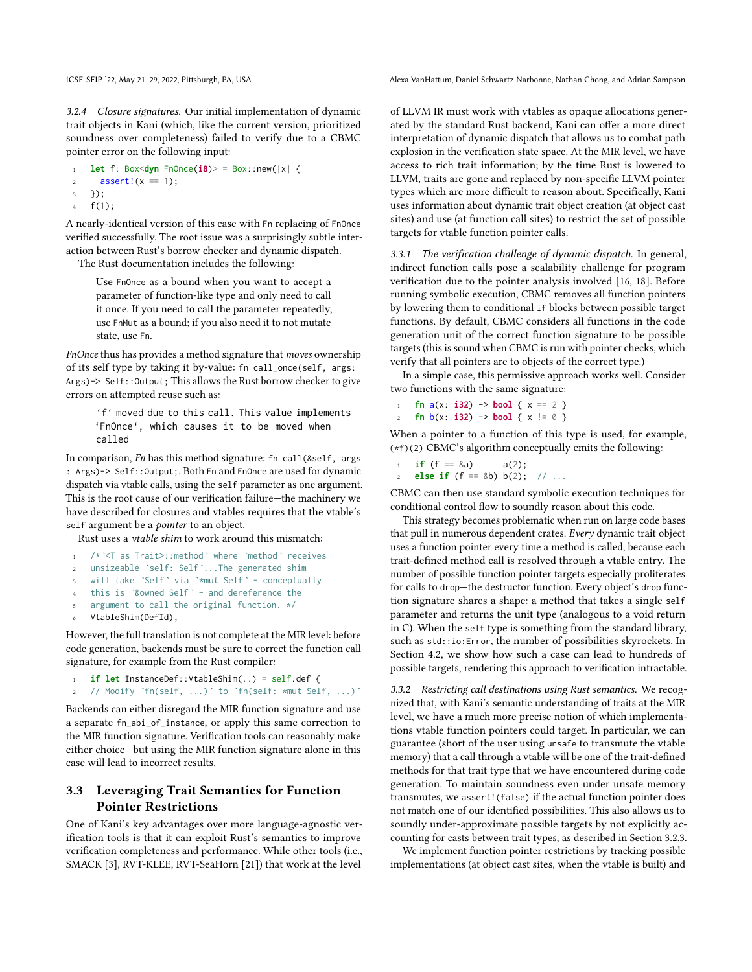<span id="page-5-1"></span>3.2.4 Closure signatures. Our initial implementation of dynamic trait objects in Kani (which, like the current version, prioritized soundness over completeness) failed to verify due to a CBMC pointer error on the following input:

```
let f: Box<dyn FnOnce(\mathbf{i8})> = Box::new(|x| {
2 assert!(x == 1);
3 });
4 f(1);
```
A nearly-identical version of this case with Fn replacing of FnOnce verified successfully. The root issue was a surprisingly subtle interaction between Rust's borrow checker and dynamic dispatch.

The Rust documentation includes the following:

Use FnOnce as a bound when you want to accept a parameter of function-like type and only need to call it once. If you need to call the parameter repeatedly, use FnMut as a bound; if you also need it to not mutate state, use Fn.

FnOnce thus has provides a method signature that moves ownership of its self type by taking it by-value: fn call\_once(self, args: Args) -> Self:: Output; This allows the Rust borrow checker to give errors on attempted reuse such as:

'f' moved due to this call. This value implements 'FnOnce', which causes it to be moved when called

In comparison, Fn has this method signature: fn call(&self, args : Args)-> Self::Output;. Both Fn and FnOnce are used for dynamic dispatch via vtable calls, using the self parameter as one argument. This is the root cause of our verification failure—the machinery we have described for closures and vtables requires that the vtable's self argument be a *pointer* to an object.

Rust uses a vtable shim to work around this mismatch:

- <sup>1</sup> /\*`<T as Trait>::method` where `method` receives
- <sup>2</sup> unsizeable `self: Self`...The generated shim
- will take `Self` via `\*mut Self` conceptually
- <sup>4</sup> this is `&owned Self` and dereference the
- argument to call the original function. \*/
- VtableShim(DefId),

However, the full translation is not complete at the MIR level: before code generation, backends must be sure to correct the function call signature, for example from the Rust compiler:

```
1 if let InstanceDef::VtableShim(..) = self.def {
```

```
2 // Modify `fn(self, ...)` to `fn(self: *mut Self, ...)`
```
Backends can either disregard the MIR function signature and use a separate fn\_abi\_of\_instance, or apply this same correction to the MIR function signature. Verification tools can reasonably make either choice—but using the MIR function signature alone in this case will lead to incorrect results.

# <span id="page-5-0"></span>3.3 Leveraging Trait Semantics for Function Pointer Restrictions

One of Kani's key advantages over more language-agnostic verification tools is that it can exploit Rust's semantics to improve verification completeness and performance. While other tools (i.e., SMACK [\[3\]](#page-9-10), RVT-KLEE, RVT-SeaHorn [\[21\]](#page-9-12)) that work at the level of LLVM IR must work with vtables as opaque allocations generated by the standard Rust backend, Kani can offer a more direct interpretation of dynamic dispatch that allows us to combat path explosion in the verification state space. At the MIR level, we have access to rich trait information; by the time Rust is lowered to LLVM, traits are gone and replaced by non-specific LLVM pointer types which are more difficult to reason about. Specifically, Kani uses information about dynamic trait object creation (at object cast sites) and use (at function call sites) to restrict the set of possible targets for vtable function pointer calls.

3.3.1 The verification challenge of dynamic dispatch. In general, indirect function calls pose a scalability challenge for program verification due to the pointer analysis involved [\[16,](#page-9-3) [18\]](#page-9-4). Before running symbolic execution, CBMC removes all function pointers by lowering them to conditional if blocks between possible target functions. By default, CBMC considers all functions in the code generation unit of the correct function signature to be possible targets (this is sound when CBMC is run with pointer checks, which verify that all pointers are to objects of the correct type.)

In a simple case, this permissive approach works well. Consider two functions with the same signature:

**fn**  $a(x: i32) \rightarrow bool$  {  $x == 2$  } **fn**  $b(x: i32)$   $\rightarrow$  **bool** {  $x := 0$  }

When a pointer to a function of this type is used, for example, (\*f)(2) CBMC's algorithm conceptually emits the following:

```
if (f == \&a) a(2);
else if (f == 8b) b(2); // ...
```
CBMC can then use standard symbolic execution techniques for conditional control flow to soundly reason about this code.

This strategy becomes problematic when run on large code bases that pull in numerous dependent crates. Every dynamic trait object uses a function pointer every time a method is called, because each trait-defined method call is resolved through a vtable entry. The number of possible function pointer targets especially proliferates for calls to drop—the destructor function. Every object's drop function signature shares a shape: a method that takes a single self parameter and returns the unit type (analogous to a void return in C). When the self type is something from the standard library, such as std::io:Error, the number of possibilities skyrockets. In Section [4.2,](#page-6-0) we show how such a case can lead to hundreds of possible targets, rendering this approach to verification intractable.

3.3.2 Restricting call destinations using Rust semantics. We recognized that, with Kani's semantic understanding of traits at the MIR level, we have a much more precise notion of which implementations vtable function pointers could target. In particular, we can guarantee (short of the user using unsafe to transmute the vtable memory) that a call through a vtable will be one of the trait-defined methods for that trait type that we have encountered during code generation. To maintain soundness even under unsafe memory transmutes, we assert!(false) if the actual function pointer does not match one of our identified possibilities. This also allows us to soundly under-approximate possible targets by not explicitly accounting for casts between trait types, as described in Section [3.2.3.](#page-4-4)

We implement function pointer restrictions by tracking possible implementations (at object cast sites, when the vtable is built) and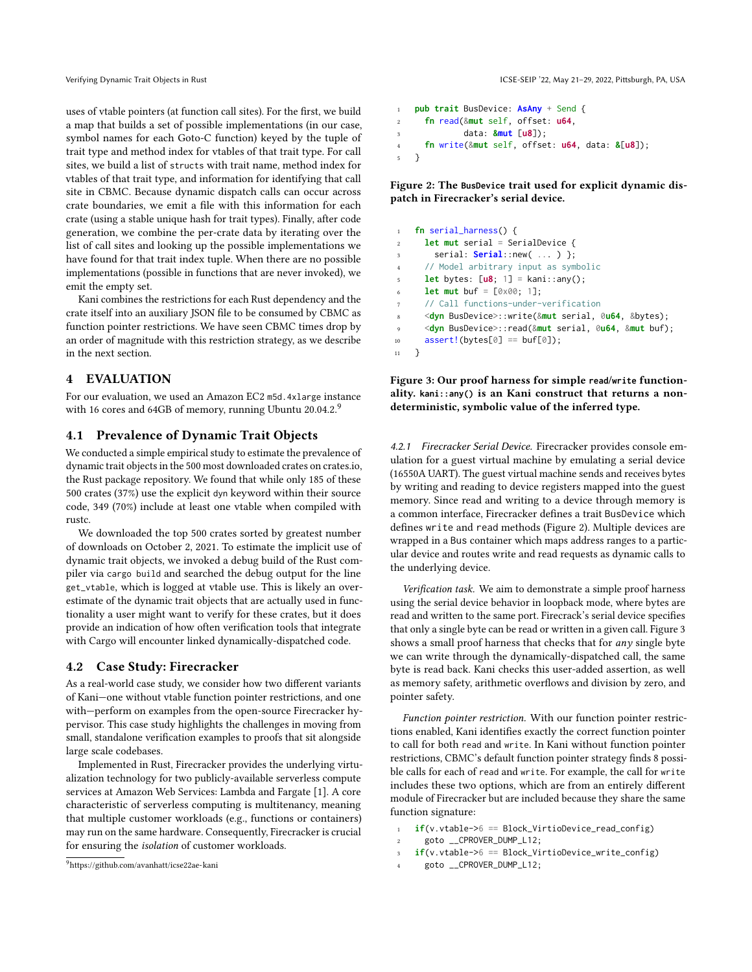uses of vtable pointers (at function call sites). For the first, we build a map that builds a set of possible implementations (in our case, symbol names for each Goto-C function) keyed by the tuple of trait type and method index for vtables of that trait type. For call sites, we build a list of structs with trait name, method index for vtables of that trait type, and information for identifying that call site in CBMC. Because dynamic dispatch calls can occur across crate boundaries, we emit a file with this information for each crate (using a stable unique hash for trait types). Finally, after code generation, we combine the per-crate data by iterating over the list of call sites and looking up the possible implementations we have found for that trait index tuple. When there are no possible implementations (possible in functions that are never invoked), we emit the empty set.

Kani combines the restrictions for each Rust dependency and the crate itself into an auxiliary JSON file to be consumed by CBMC as function pointer restrictions. We have seen CBMC times drop by an order of magnitude with this restriction strategy, as we describe in the next section.

# 4 EVALUATION

For our evaluation, we used an Amazon EC2 m5d.4xlarge instance with 16 cores and 64GB of memory, running Ubuntu 20.04.2.[9](#page-6-2)

## <span id="page-6-1"></span>4.1 Prevalence of Dynamic Trait Objects

We conducted a simple empirical study to estimate the prevalence of dynamic trait objects in the 500 most downloaded crates on [crates.io,](crates.io) the Rust package repository. We found that while only 185 of these 500 crates (37%) use the explicit dyn keyword within their source code, 349 (70%) include at least one vtable when compiled with rustc.

We downloaded the top 500 crates sorted by greatest number of downloads on October 2, 2021. To estimate the implicit use of dynamic trait objects, we invoked a debug build of the Rust compiler via cargo build and searched the debug output for the line get\_vtable, which is logged at vtable use. This is likely an overestimate of the dynamic trait objects that are actually used in functionality a user might want to verify for these crates, but it does provide an indication of how often verification tools that integrate with Cargo will encounter linked dynamically-dispatched code.

#### <span id="page-6-0"></span>4.2 Case Study: Firecracker

As a real-world case study, we consider how two different variants of Kani—one without vtable function pointer restrictions, and one with—perform on examples from the open-source Firecracker hypervisor. This case study highlights the challenges in moving from small, standalone verification examples to proofs that sit alongside large scale codebases.

Implemented in Rust, Firecracker provides the underlying virtualization technology for two publicly-available serverless compute services at Amazon Web Services: Lambda and Fargate [\[1\]](#page-9-2). A core characteristic of serverless computing is multitenancy, meaning that multiple customer workloads (e.g., functions or containers) may run on the same hardware. Consequently, Firecracker is crucial for ensuring the isolation of customer workloads.

```
9https://github.com/avanhatt/icse22ae-kani
```

```
1 pub trait BusDevice: AsAny + Send {
2 fn read(&mut self, offset: u64,
             3 data: &mut [u8]);
4 fn write(&mut self, offset: u64, data: &[u8]);
5 }
```
Figure 2: The **BusDevice** trait used for explicit dynamic dispatch in Firecracker's serial device.

<span id="page-6-4"></span>

| $\mathbf{1}$            | fn serial_harness() {                                                |
|-------------------------|----------------------------------------------------------------------|
| $\overline{c}$          | <b>let mut</b> serial = SerialDevice {                               |
| $\overline{\mathbf{3}}$ | serial: $\text{Serial}$ : new(  ) };                                 |
| $\overline{4}$          | // Model arbitrary input as symbolic                                 |
| $\overline{5}$          | <b>let</b> bytes: $[u8; 1] = kani$ ::any();                          |
| 6                       | <b>let mut</b> buf = $[0 \times 00; 1]$ ;                            |
| $\overline{7}$          | // Call functions-under-verification                                 |
| $\boldsymbol{8}$        | <dyn busdevice="">::write(&amp;mut serial, 0u64, &amp;bytes);</dyn>  |
| $\overline{9}$          | <dyn busdevice="">::read(&amp;mut serial, 0u64, &amp;mut buf);</dyn> |
| 10                      | $assert!(bytes[0] == buffer[0]);$                                    |
| 11                      |                                                                      |

Figure 3: Our proof harness for simple **read**/**write** functionality. **kani::any()** is an Kani construct that returns a nondeterministic, symbolic value of the inferred type.

4.2.1 Firecracker Serial Device. Firecracker provides console emulation for a guest virtual machine by emulating a serial device (16550A UART). The guest virtual machine sends and receives bytes by writing and reading to device registers mapped into the guest memory. Since read and writing to a device through memory is a common interface, Firecracker defines a trait BusDevice which defines write and read methods (Figure [2\)](#page-6-3). Multiple devices are wrapped in a Bus container which maps address ranges to a particular device and routes write and read requests as dynamic calls to the underlying device.

Verification task. We aim to demonstrate a simple proof harness using the serial device behavior in loopback mode, where bytes are read and written to the same port. Firecrack's serial device specifies that only a single byte can be read or written in a given call. Figure [3](#page-6-4) shows a small proof harness that checks that for any single byte we can write through the dynamically-dispatched call, the same byte is read back. Kani checks this user-added assertion, as well as memory safety, arithmetic overflows and division by zero, and pointer safety.

Function pointer restriction. With our function pointer restrictions enabled, Kani identifies exactly the correct function pointer to call for both read and write. In Kani without function pointer restrictions, CBMC's default function pointer strategy finds 8 possible calls for each of read and write. For example, the call for write includes these two options, which are from an entirely different module of Firecracker but are included because they share the same function signature:

```
1 if(v.vtable->6 == Block_VirtioDevice_read_config)
```

```
2 goto __CPROVER_DUMP_L12;
```

```
3 if(v.vtable->6 == Block_VirtioDevice_write_config)
```

```
goto __CPROVER_DUMP_L12;
```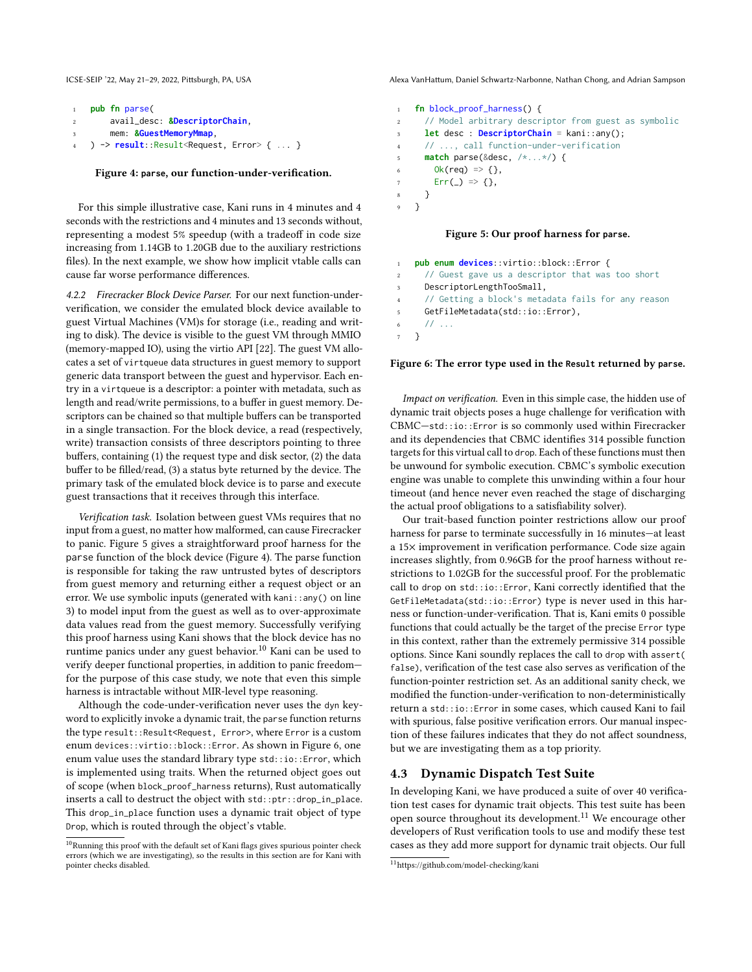<span id="page-7-1"></span>

| $\overline{1}$ | pub fn parse(                 |
|----------------|-------------------------------|
| 2              | avail_desc: &DescriptorChain. |
| 3              | mem: &GuestMemoryMmap,        |
|                | ) -> $result::Result {  }$    |

#### Figure 4: **parse**, our function-under-verification.

For this simple illustrative case, Kani runs in 4 minutes and 4 seconds with the restrictions and 4 minutes and 13 seconds without, representing a modest 5% speedup (with a tradeoff in code size increasing from 1.14GB to 1.20GB due to the auxiliary restrictions files). In the next example, we show how implicit vtable calls can cause far worse performance differences.

4.2.2 Firecracker Block Device Parser. For our next function-underverification, we consider the emulated block device available to guest Virtual Machines (VM)s for storage (i.e., reading and writing to disk). The device is visible to the guest VM through MMIO (memory-mapped IO), using the virtio API [\[22\]](#page-9-17). The guest VM allocates a set of virtqueue data structures in guest memory to support generic data transport between the guest and hypervisor. Each entry in a virtqueue is a descriptor: a pointer with metadata, such as length and read/write permissions, to a buffer in guest memory. Descriptors can be chained so that multiple buffers can be transported in a single transaction. For the block device, a read (respectively, write) transaction consists of three descriptors pointing to three buffers, containing (1) the request type and disk sector, (2) the data buffer to be filled/read, (3) a status byte returned by the device. The primary task of the emulated block device is to parse and execute guest transactions that it receives through this interface.

Verification task. Isolation between guest VMs requires that no input from a guest, no matter how malformed, can cause Firecracker to panic. Figure [5](#page-7-0) gives a straightforward proof harness for the parse function of the block device (Figure [4\)](#page-7-1). The parse function is responsible for taking the raw untrusted bytes of descriptors from guest memory and returning either a request object or an error. We use symbolic inputs (generated with kani::any() on line 3) to model input from the guest as well as to over-approximate data values read from the guest memory. Successfully verifying this proof harness using Kani shows that the block device has no runtime panics under any guest behavior.<sup>[10](#page-7-2)</sup> Kani can be used to verify deeper functional properties, in addition to panic freedom for the purpose of this case study, we note that even this simple harness is intractable without MIR-level type reasoning.

Although the code-under-verification never uses the dyn keyword to explicitly invoke a dynamic trait, the parse function returns the type result::Result<Request, Error>, where Error is a custom enum devices::virtio::block::Error. As shown in Figure [6,](#page-7-3) one enum value uses the standard library type std::io::Error, which is implemented using traits. When the returned object goes out of scope (when block\_proof\_harness returns), Rust automatically inserts a call to destruct the object with std::ptr::drop\_in\_place. This drop\_in\_place function uses a dynamic trait object of type Drop, which is routed through the object's vtable.

ICSE-SEIP '22, May 21–29, 2022, Pittsburgh, PA, USA Alexa VanHattum, Daniel Schwartz-Narbonne, Nathan Chong, and Adrian Sampson

```
1 fn block_proof_harness() {
2 // Model arbitrary descriptor from guest as symbolic
3 let desc : DescriptorChain = kani::any();
4 // ..., call function-under-verification
      5 match parse(&desc, /*...*/) {
        0k(req) \Rightarrow {},
7 \quad \text{Err}(\_) \Rightarrow \{\},8 }
   9 }
```
#### Figure 5: Our proof harness for **parse**.

<span id="page-7-3"></span>

|                | <b>pub enum devices</b> ::virtio::block::Error {                                                                                                                                                                                                                                                                    |
|----------------|---------------------------------------------------------------------------------------------------------------------------------------------------------------------------------------------------------------------------------------------------------------------------------------------------------------------|
| <sup>2</sup>   | // Guest gave us a descriptor that was too short                                                                                                                                                                                                                                                                    |
|                | DescriptorLengthTooSmall,<br>$3^{\circ}$                                                                                                                                                                                                                                                                            |
|                | 4 // Getting a block's metadata fails for any reason                                                                                                                                                                                                                                                                |
| 5 <sub>5</sub> | GetFileMetadata(std::io::Error),                                                                                                                                                                                                                                                                                    |
|                | $\frac{1}{2}$ $\frac{1}{2}$ $\frac{1}{2}$ $\frac{1}{2}$ $\frac{1}{2}$ $\frac{1}{2}$ $\frac{1}{2}$ $\frac{1}{2}$ $\frac{1}{2}$ $\frac{1}{2}$ $\frac{1}{2}$ $\frac{1}{2}$ $\frac{1}{2}$ $\frac{1}{2}$ $\frac{1}{2}$ $\frac{1}{2}$ $\frac{1}{2}$ $\frac{1}{2}$ $\frac{1}{2}$ $\frac{1}{2}$ $\frac{1}{2}$ $\frac{1}{2}$ |
| 7 }            |                                                                                                                                                                                                                                                                                                                     |

#### Figure 6: The error type used in the **Result** returned by **parse**.

Impact on verification. Even in this simple case, the hidden use of dynamic trait objects poses a huge challenge for verification with CBMC—std::io::Error is so commonly used within Firecracker and its dependencies that CBMC identifies 314 possible function targets for this virtual call to drop. Each of these functions must then be unwound for symbolic execution. CBMC's symbolic execution engine was unable to complete this unwinding within a four hour timeout (and hence never even reached the stage of discharging the actual proof obligations to a satisfiability solver).

Our trait-based function pointer restrictions allow our proof harness for parse to terminate successfully in 16 minutes—at least a 15× improvement in verification performance. Code size again increases slightly, from 0.96GB for the proof harness without restrictions to 1.02GB for the successful proof. For the problematic call to drop on std::io::Error, Kani correctly identified that the GetFileMetadata(std::io::Error) type is never used in this harness or function-under-verification. That is, Kani emits 0 possible functions that could actually be the target of the precise Error type in this context, rather than the extremely permissive 314 possible options. Since Kani soundly replaces the call to drop with assert( false), verification of the test case also serves as verification of the function-pointer restriction set. As an additional sanity check, we modified the function-under-verification to non-deterministically return a std::io::Error in some cases, which caused Kani to fail with spurious, false positive verification errors. Our manual inspection of these failures indicates that they do not affect soundness, but we are investigating them as a top priority.

#### 4.3 Dynamic Dispatch Test Suite

In developing Kani, we have produced a suite of over 40 verification test cases for dynamic trait objects. This test suite has been open source throughout its development.<sup>[11](#page-7-4)</sup> We encourage other developers of Rust verification tools to use and modify these test cases as they add more support for dynamic trait objects. Our full

<span id="page-7-2"></span> $^{10}\rm{Running}$  this proof with the default set of Kani flags gives spurious pointer check errors (which we are investigating), so the results in this section are for Kani with pointer checks disabled.

<span id="page-7-4"></span><sup>11</sup><https://github.com/model-checking/kani>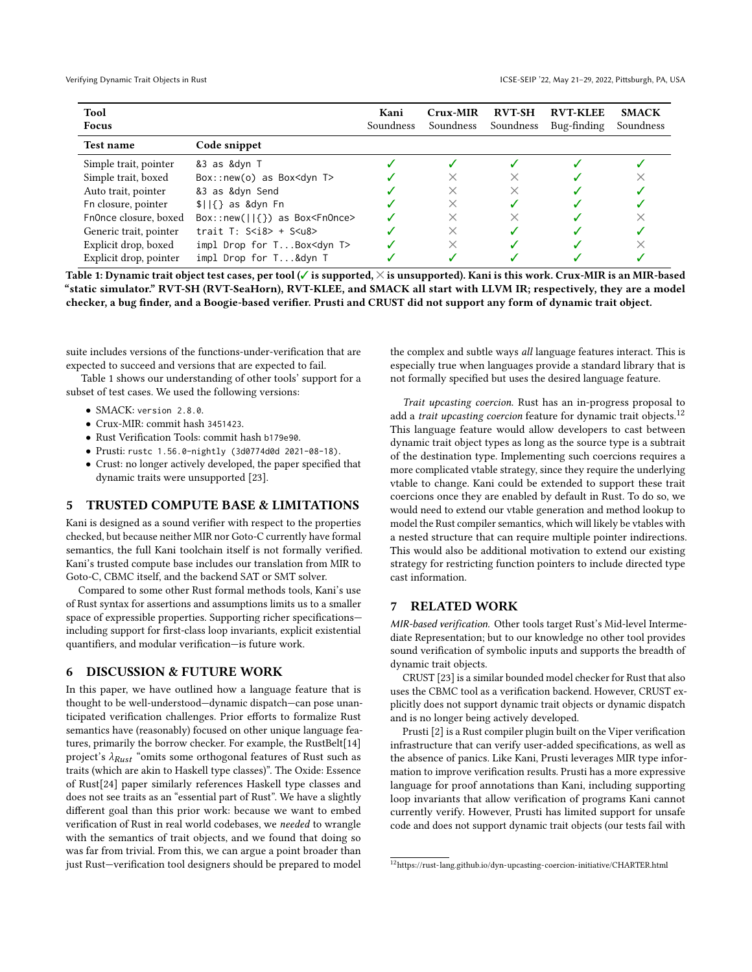<span id="page-8-1"></span>

| <b>Tool</b><br><b>Focus</b> |                                            | Kani<br>Soundness | Crux-MIR<br>Soundness | <b>RVT-SH</b><br>Soundness | <b>RVT-KLEE</b><br>Bug-finding | <b>SMACK</b><br>Soundness |
|-----------------------------|--------------------------------------------|-------------------|-----------------------|----------------------------|--------------------------------|---------------------------|
| <b>Test name</b>            | Code snippet                               |                   |                       |                            |                                |                           |
| Simple trait, pointer       | &3 as &dyn T                               |                   |                       |                            |                                |                           |
| Simple trait, boxed         | Box::new(o) as Box <dyn t=""></dyn>        |                   |                       |                            |                                |                           |
| Auto trait, pointer         | &3 as &dyn Send                            |                   | ×                     | $\times$                   |                                |                           |
| Fn closure, pointer         | $ 1 $ as &dyn Fn                           |                   | ×                     |                            |                                |                           |
| Fn0nce closure, boxed       | $Box::new(  {}})$ as Box <fn0nce></fn0nce> |                   | X                     | $\times$                   |                                |                           |
| Generic trait, pointer      | trait $T: S < i8 > + S < u8 >$             |                   | X                     |                            |                                |                           |
| Explicit drop, boxed        | impl Drop for TBox <dyn t=""></dyn>        |                   | $\times$              |                            |                                |                           |
| Explicit drop, pointer      | impl Drop for T&dyn T                      |                   |                       |                            |                                |                           |

Table 1: Dynamic trait object test cases, per tool ( $\checkmark$  is supported,  $\times$  is unsupported). Kani is this work. Crux-MIR is an MIR-based "static simulator." RVT-SH (RVT-SeaHorn), RVT-KLEE, and SMACK all start with LLVM IR; respectively, they are a model checker, a bug finder, and a Boogie-based verifier. Prusti and CRUST did not support any form of dynamic trait object.

suite includes versions of the functions-under-verification that are expected to succeed and versions that are expected to fail.

Table [1](#page-8-1) shows our understanding of other tools' support for a subset of test cases. We used the following versions:

- SMACK: version 2.8.0.
- Crux-MIR: commit hash 3451423.
- Rust Verification Tools: commit hash b179e90.
- Prusti: rustc 1.56.0-nightly (3d0774d0d 2021-08-18).
- Crust: no longer actively developed, the paper specified that dynamic traits were unsupported [\[23\]](#page-9-8).

# 5 TRUSTED COMPUTE BASE & LIMITATIONS

Kani is designed as a sound verifier with respect to the properties checked, but because neither MIR nor Goto-C currently have formal semantics, the full Kani toolchain itself is not formally verified. Kani's trusted compute base includes our translation from MIR to Goto-C, CBMC itself, and the backend SAT or SMT solver.

Compared to some other Rust formal methods tools, Kani's use of Rust syntax for assertions and assumptions limits us to a smaller space of expressible properties. Supporting richer specifications including support for first-class loop invariants, explicit existential quantifiers, and modular verification—is future work.

## <span id="page-8-0"></span>6 DISCUSSION & FUTURE WORK

In this paper, we have outlined how a language feature that is thought to be well-understood—dynamic dispatch—can pose unanticipated verification challenges. Prior efforts to formalize Rust semantics have (reasonably) focused on other unique language fea-tures, primarily the borrow checker. For example, the RustBelt[\[14\]](#page-9-18) project's  $\lambda_{Rust}$  "omits some orthogonal features of Rust such as traits (which are akin to Haskell type classes)". The Oxide: Essence of Rust[\[24\]](#page-9-19) paper similarly references Haskell type classes and does not see traits as an "essential part of Rust". We have a slightly different goal than this prior work: because we want to embed verification of Rust in real world codebases, we needed to wrangle with the semantics of trait objects, and we found that doing so was far from trivial. From this, we can argue a point broader than just Rust—verification tool designers should be prepared to model

the complex and subtle ways all language features interact. This is especially true when languages provide a standard library that is not formally specified but uses the desired language feature.

Trait upcasting coercion. Rust has an in-progress proposal to add a *trait upcasting coercion* feature for dynamic trait objects.<sup>[12](#page-8-2)</sup> This language feature would allow developers to cast between dynamic trait object types as long as the source type is a subtrait of the destination type. Implementing such coercions requires a more complicated vtable strategy, since they require the underlying vtable to change. Kani could be extended to support these trait coercions once they are enabled by default in Rust. To do so, we would need to extend our vtable generation and method lookup to model the Rust compiler semantics, which will likely be vtables with a nested structure that can require multiple pointer indirections. This would also be additional motivation to extend our existing strategy for restricting function pointers to include directed type cast information.

# 7 RELATED WORK

MIR-based verification. Other tools target Rust's Mid-level Intermediate Representation; but to our knowledge no other tool provides sound verification of symbolic inputs and supports the breadth of dynamic trait objects.

CRUST [\[23\]](#page-9-8) is a similar bounded model checker for Rust that also uses the CBMC tool as a verification backend. However, CRUST explicitly does not support dynamic trait objects or dynamic dispatch and is no longer being actively developed.

Prusti [\[2\]](#page-9-7) is a Rust compiler plugin built on the Viper verification infrastructure that can verify user-added specifications, as well as the absence of panics. Like Kani, Prusti leverages MIR type information to improve verification results. Prusti has a more expressive language for proof annotations than Kani, including supporting loop invariants that allow verification of programs Kani cannot currently verify. However, Prusti has limited support for unsafe code and does not support dynamic trait objects (our tests fail with

<span id="page-8-2"></span><sup>12</sup><https://rust-lang.github.io/dyn-upcasting-coercion-initiative/CHARTER.html>